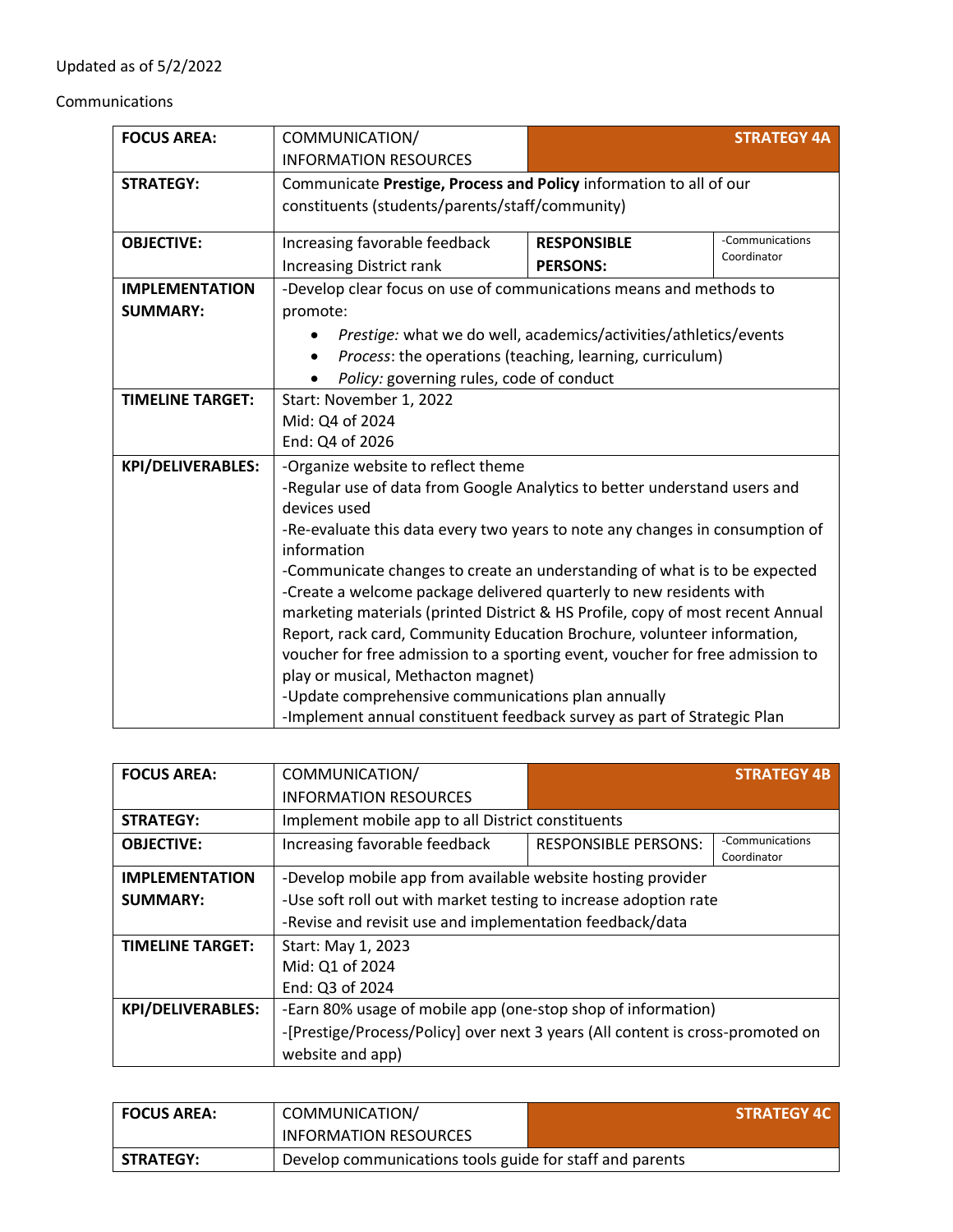## Updated as of 5/2/2022

## Communications

| <b>FOCUS AREA:</b>       | COMMUNICATION/                                                                              |                    | <b>STRATEGY 4A</b> |
|--------------------------|---------------------------------------------------------------------------------------------|--------------------|--------------------|
|                          | <b>INFORMATION RESOURCES</b>                                                                |                    |                    |
| <b>STRATEGY:</b>         | Communicate Prestige, Process and Policy information to all of our                          |                    |                    |
|                          | constituents (students/parents/staff/community)                                             |                    |                    |
|                          | -Communications                                                                             |                    |                    |
| <b>OBJECTIVE:</b>        | Increasing favorable feedback                                                               | <b>RESPONSIBLE</b> | Coordinator        |
|                          | <b>Increasing District rank</b>                                                             | <b>PERSONS:</b>    |                    |
| <b>IMPLEMENTATION</b>    | -Develop clear focus on use of communications means and methods to                          |                    |                    |
| <b>SUMMARY:</b>          | promote:                                                                                    |                    |                    |
|                          | Prestige: what we do well, academics/activities/athletics/events                            |                    |                    |
|                          | Process: the operations (teaching, learning, curriculum)                                    |                    |                    |
|                          | Policy: governing rules, code of conduct                                                    |                    |                    |
| <b>TIMELINE TARGET:</b>  | Start: November 1, 2022                                                                     |                    |                    |
|                          | Mid: Q4 of 2024                                                                             |                    |                    |
|                          | End: Q4 of 2026                                                                             |                    |                    |
| <b>KPI/DELIVERABLES:</b> | -Organize website to reflect theme                                                          |                    |                    |
|                          | -Regular use of data from Google Analytics to better understand users and                   |                    |                    |
|                          | devices used                                                                                |                    |                    |
|                          | -Re-evaluate this data every two years to note any changes in consumption of<br>information |                    |                    |
|                          | -Communicate changes to create an understanding of what is to be expected                   |                    |                    |
|                          | -Create a welcome package delivered quarterly to new residents with                         |                    |                    |
|                          | marketing materials (printed District & HS Profile, copy of most recent Annual              |                    |                    |
|                          | Report, rack card, Community Education Brochure, volunteer information,                     |                    |                    |
|                          | voucher for free admission to a sporting event, voucher for free admission to               |                    |                    |
|                          | play or musical, Methacton magnet)                                                          |                    |                    |
|                          | -Update comprehensive communications plan annually                                          |                    |                    |
|                          | -Implement annual constituent feedback survey as part of Strategic Plan                     |                    |                    |

| <b>FOCUS AREA:</b>       | COMMUNICATION/                                                                 |                             | <b>STRATEGY 4B</b>             |
|--------------------------|--------------------------------------------------------------------------------|-----------------------------|--------------------------------|
|                          | <b>INFORMATION RESOURCES</b>                                                   |                             |                                |
| <b>STRATEGY:</b>         | Implement mobile app to all District constituents                              |                             |                                |
| <b>OBJECTIVE:</b>        | Increasing favorable feedback                                                  | <b>RESPONSIBLE PERSONS:</b> | -Communications<br>Coordinator |
| <b>IMPLEMENTATION</b>    | -Develop mobile app from available website hosting provider                    |                             |                                |
| <b>SUMMARY:</b>          | -Use soft roll out with market testing to increase adoption rate               |                             |                                |
|                          | -Revise and revisit use and implementation feedback/data                       |                             |                                |
| <b>TIMELINE TARGET:</b>  | Start: May 1, 2023                                                             |                             |                                |
|                          | Mid: Q1 of 2024                                                                |                             |                                |
|                          | End: Q3 of 2024                                                                |                             |                                |
| <b>KPI/DELIVERABLES:</b> | -Earn 80% usage of mobile app (one-stop shop of information)                   |                             |                                |
|                          | -[Prestige/Process/Policy] over next 3 years (All content is cross-promoted on |                             |                                |
|                          | website and app)                                                               |                             |                                |

| <b>FOCUS AREA:</b> | COMMUNICATION/                                           | <b>STRATEGY 4C</b> |
|--------------------|----------------------------------------------------------|--------------------|
|                    | <b>INFORMATION RESOURCES</b>                             |                    |
| <b>STRATEGY:</b>   | Develop communications tools guide for staff and parents |                    |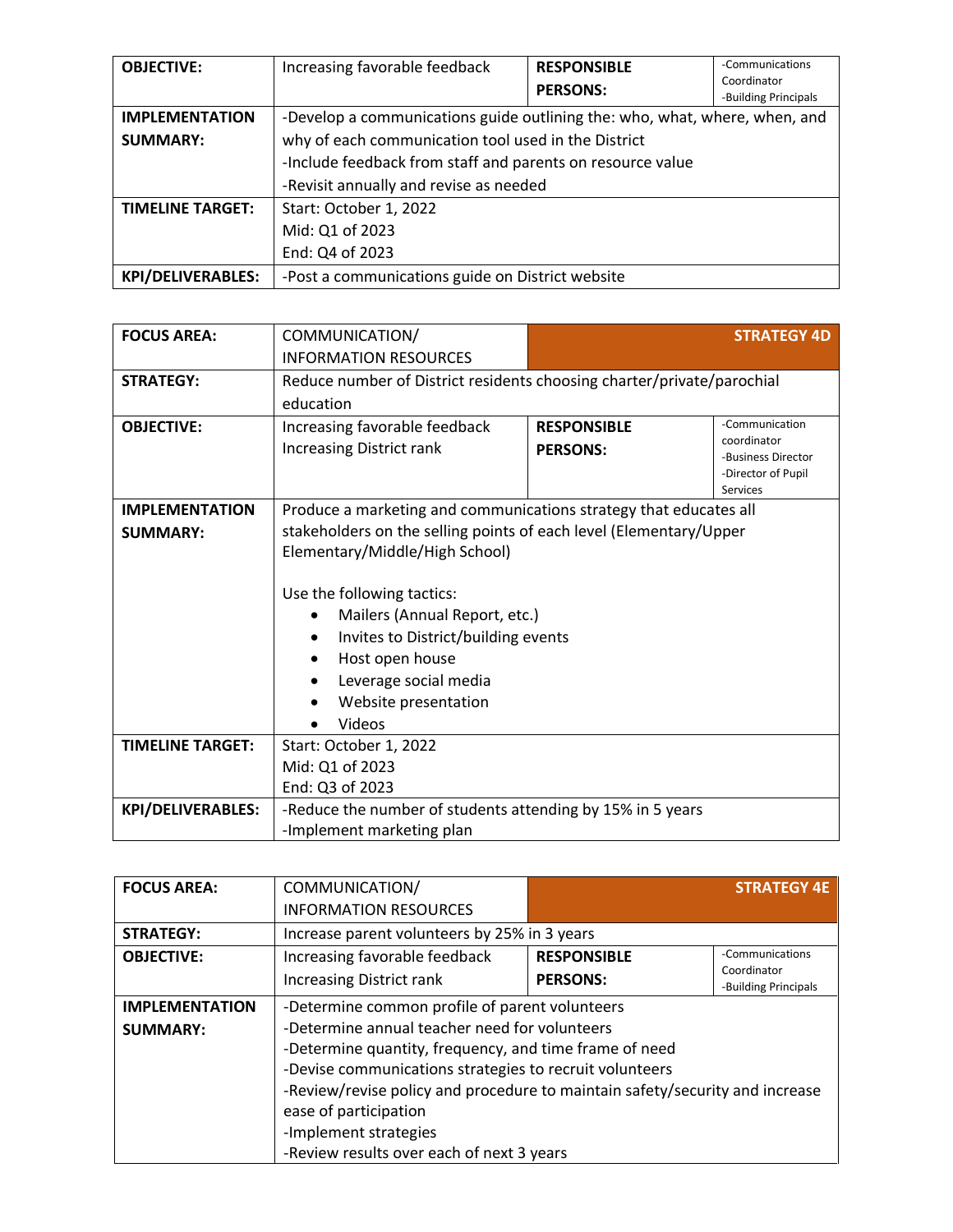| <b>OBJECTIVE:</b>        | Increasing favorable feedback                                              | <b>RESPONSIBLE</b><br><b>PERSONS:</b> | -Communications<br>Coordinator<br>-Building Principals |
|--------------------------|----------------------------------------------------------------------------|---------------------------------------|--------------------------------------------------------|
| <b>IMPLEMENTATION</b>    | -Develop a communications guide outlining the: who, what, where, when, and |                                       |                                                        |
| <b>SUMMARY:</b>          | why of each communication tool used in the District                        |                                       |                                                        |
|                          | -Include feedback from staff and parents on resource value                 |                                       |                                                        |
|                          | -Revisit annually and revise as needed                                     |                                       |                                                        |
| <b>TIMELINE TARGET:</b>  | Start: October 1, 2022                                                     |                                       |                                                        |
|                          | Mid: Q1 of 2023                                                            |                                       |                                                        |
|                          | End: Q4 of 2023                                                            |                                       |                                                        |
| <b>KPI/DELIVERABLES:</b> | -Post a communications guide on District website                           |                                       |                                                        |

| <b>FOCUS AREA:</b>       | COMMUNICATION/                                                                                                                                                                   |                                       | <b>STRATEGY 4D</b>                                                                           |
|--------------------------|----------------------------------------------------------------------------------------------------------------------------------------------------------------------------------|---------------------------------------|----------------------------------------------------------------------------------------------|
|                          | <b>INFORMATION RESOURCES</b>                                                                                                                                                     |                                       |                                                                                              |
| <b>STRATEGY:</b>         | Reduce number of District residents choosing charter/private/parochial                                                                                                           |                                       |                                                                                              |
|                          | education                                                                                                                                                                        |                                       |                                                                                              |
| <b>OBJECTIVE:</b>        | Increasing favorable feedback<br><b>Increasing District rank</b>                                                                                                                 | <b>RESPONSIBLE</b><br><b>PERSONS:</b> | -Communication<br>coordinator<br>-Business Director<br>-Director of Pupil<br><b>Services</b> |
| <b>IMPLEMENTATION</b>    | Produce a marketing and communications strategy that educates all                                                                                                                |                                       |                                                                                              |
| <b>SUMMARY:</b>          | stakeholders on the selling points of each level (Elementary/Upper                                                                                                               |                                       |                                                                                              |
|                          | Elementary/Middle/High School)                                                                                                                                                   |                                       |                                                                                              |
|                          | Use the following tactics:<br>Mailers (Annual Report, etc.)<br>Invites to District/building events<br>Host open house<br>Leverage social media<br>Website presentation<br>Videos |                                       |                                                                                              |
| <b>TIMELINE TARGET:</b>  | Start: October 1, 2022                                                                                                                                                           |                                       |                                                                                              |
|                          | Mid: Q1 of 2023                                                                                                                                                                  |                                       |                                                                                              |
|                          | End: Q3 of 2023                                                                                                                                                                  |                                       |                                                                                              |
| <b>KPI/DELIVERABLES:</b> | -Reduce the number of students attending by 15% in 5 years                                                                                                                       |                                       |                                                                                              |
|                          | -Implement marketing plan                                                                                                                                                        |                                       |                                                                                              |

| <b>FOCUS AREA:</b>                       | COMMUNICATION/                                                                                                                                                                                                                                                                                                                                                                                      |                                       | <b>STRATEGY 4E</b>                                     |
|------------------------------------------|-----------------------------------------------------------------------------------------------------------------------------------------------------------------------------------------------------------------------------------------------------------------------------------------------------------------------------------------------------------------------------------------------------|---------------------------------------|--------------------------------------------------------|
|                                          | <b>INFORMATION RESOURCES</b>                                                                                                                                                                                                                                                                                                                                                                        |                                       |                                                        |
| <b>STRATEGY:</b>                         | Increase parent volunteers by 25% in 3 years                                                                                                                                                                                                                                                                                                                                                        |                                       |                                                        |
| <b>OBJECTIVE:</b>                        | Increasing favorable feedback<br><b>Increasing District rank</b>                                                                                                                                                                                                                                                                                                                                    | <b>RESPONSIBLE</b><br><b>PERSONS:</b> | -Communications<br>Coordinator<br>-Building Principals |
| <b>IMPLEMENTATION</b><br><b>SUMMARY:</b> | -Determine common profile of parent volunteers<br>-Determine annual teacher need for volunteers<br>-Determine quantity, frequency, and time frame of need<br>-Devise communications strategies to recruit volunteers<br>-Review/revise policy and procedure to maintain safety/security and increase<br>ease of participation<br>-Implement strategies<br>-Review results over each of next 3 years |                                       |                                                        |